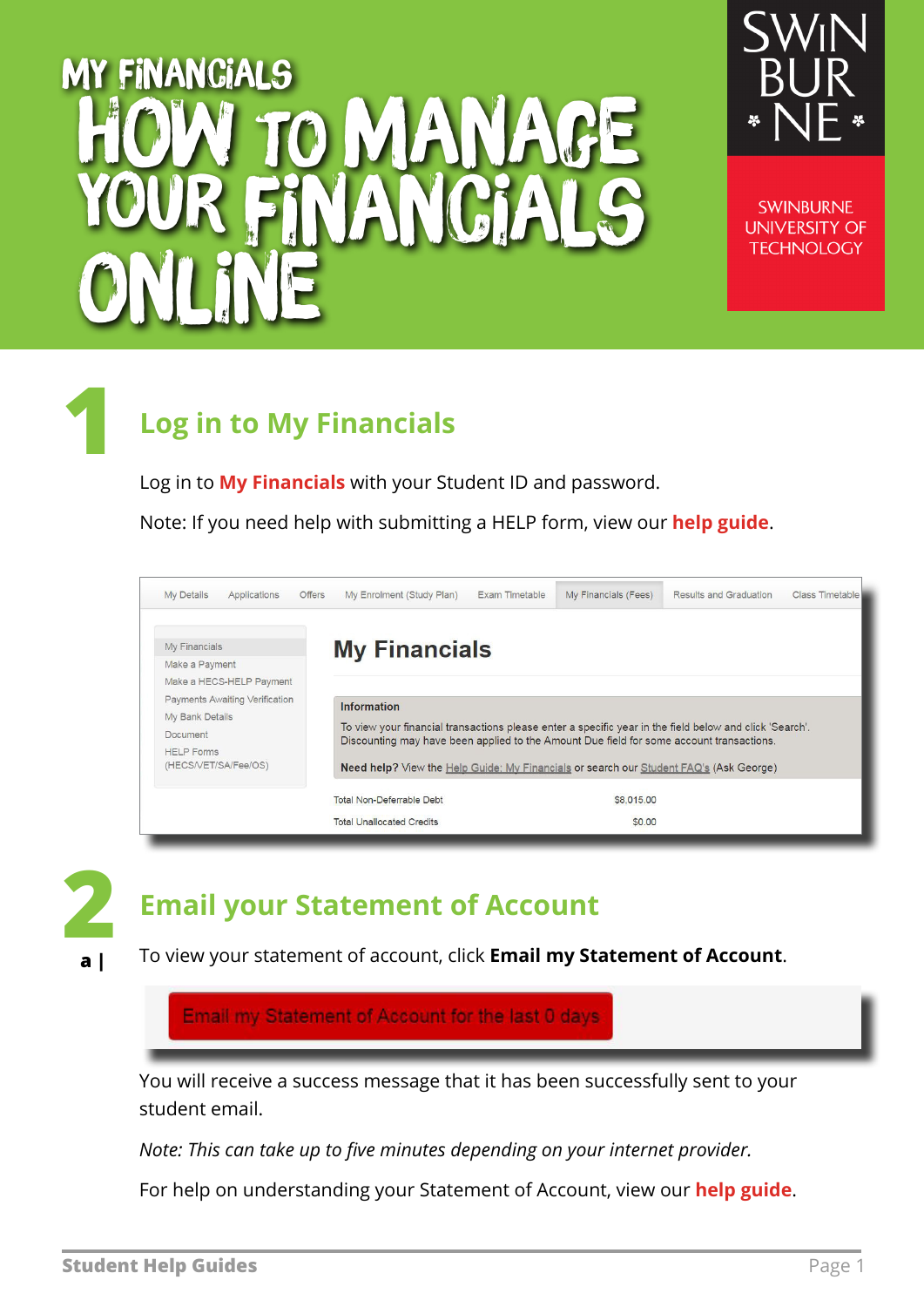## my financials O MANAGE your financials online



**SWINBURNE UNIVERSITY OF TECHNOLOGY** 

### **1 Log in to My Financials**

Log in to **[My Financials](https://s1.swin.edu.au/eStudent/login.aspx?ReturnUrl=%2feStudent%2fSM%2fFinTxnDtls10.aspx%3ff%3d%2523SU.EST.FINTXN.WEB&f=%23SU.EST.FINTXN.WEB)** with your Student ID and password.

Note: If you need help with submitting a HELP form, view our **[help guide](https://www.swinburne.edu.au/media/swinburneeduau/current-students/docs/pdf/HelpGuide_HELP_Assistance.pdf)**.

| <b>My Details</b><br>Applications<br><b>Offers</b>                                                                                                                        | My Enrolment (Study Plan)                                                                                                                                                                                                                                                                                           | Exam Timetable | My Financials (Fees) | <b>Results and Graduation</b> | Class Timetable |
|---------------------------------------------------------------------------------------------------------------------------------------------------------------------------|---------------------------------------------------------------------------------------------------------------------------------------------------------------------------------------------------------------------------------------------------------------------------------------------------------------------|----------------|----------------------|-------------------------------|-----------------|
| My Financials<br>Make a Payment<br>Make a HECS-HELP Payment<br>Payments Awaiting Verification<br>My Bank Details<br>Document<br><b>HELP Forms</b><br>(HECS/VET/SA/Fee/OS) | <b>My Financials</b>                                                                                                                                                                                                                                                                                                |                |                      |                               |                 |
|                                                                                                                                                                           | <b>Information</b><br>To view your financial transactions please enter a specific year in the field below and click 'Search'.<br>Discounting may have been applied to the Amount Due field for some account transactions.<br>Need help? View the Help Guide: My Financials or search our Student FAQ's (Ask George) |                |                      |                               |                 |
|                                                                                                                                                                           | Total Non-Deferrable Debt<br><b>Total Unallocated Credits</b>                                                                                                                                                                                                                                                       |                | \$8,015.00<br>\$0.00 |                               |                 |



#### **Email your Statement of Account**

To view your statement of account, click **Email my Statement of Account**.

Email my Statement of Account for the last 0 days

You will receive a success message that it has been successfully sent to your student email.

*Note: This can take up to five minutes depending on your internet provider.* 

For help on understanding your Statement of Account, view our **[help guide](http://www.swinburne.edu.au/student/changes/resources/docs/How-to-Read-your-Statement-of-Account-July2015-v1.1.pdf)**.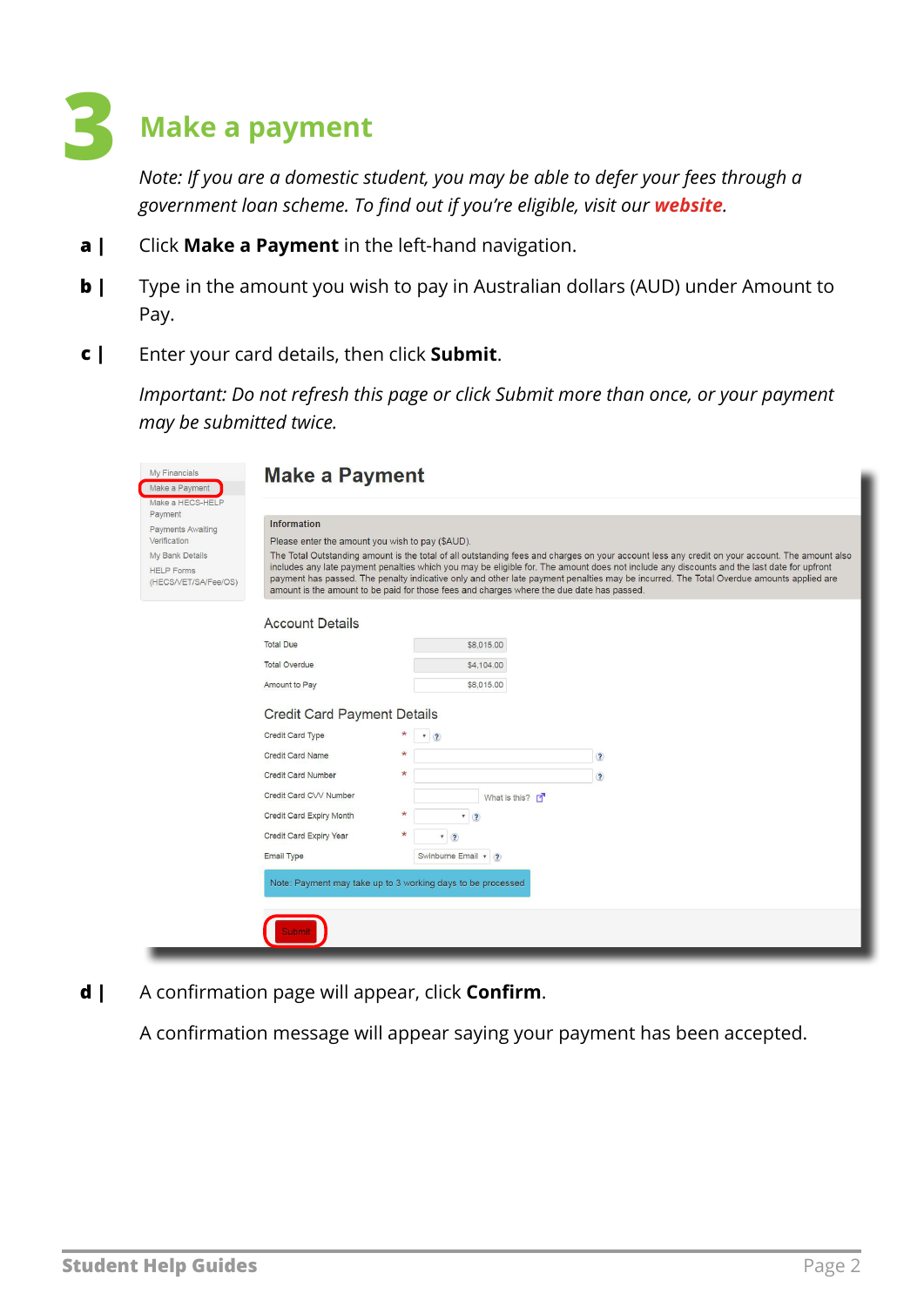# **3 Make a payment**

*Note: If you are a domestic student, you may be able to defer your fees through a government loan scheme. To find out if you're eligible, visit our [website](https://www.swinburne.edu.au/current-students/manage-course/fees/loans-discounts/).* 

- Click **Make a Payment** in the left-hand navigation. **a |**
- Type in the amount you wish to pay in Australian dollars (AUD) under Amount to Pay. **b |**
- Enter your card details, then click **Submit**. **c |**

*Important: Do not refresh this page or click Submit more than once, or your payment may be submitted twice.* 

| My Financials<br>Make a Payment           | <b>Make a Payment</b>                            |                                                                                                                                                                                                                                                                                              |                                                                                                                                         |  |  |
|-------------------------------------------|--------------------------------------------------|----------------------------------------------------------------------------------------------------------------------------------------------------------------------------------------------------------------------------------------------------------------------------------------------|-----------------------------------------------------------------------------------------------------------------------------------------|--|--|
| Make a HECS-HELP                          |                                                  |                                                                                                                                                                                                                                                                                              |                                                                                                                                         |  |  |
| Payment<br>Payments Awaiting              | <b>Information</b>                               |                                                                                                                                                                                                                                                                                              |                                                                                                                                         |  |  |
| Verification                              | Please enter the amount you wish to pay (\$AUD). |                                                                                                                                                                                                                                                                                              |                                                                                                                                         |  |  |
| <b>My Bank Details</b>                    |                                                  | The Total Outstanding amount is the total of all outstanding fees and charges on your account less any credit on your account. The amount also<br>includes any late payment penalties which you may be eligible for. The amount does not include any discounts and the last date for upfront |                                                                                                                                         |  |  |
| <b>HELP Forms</b><br>(HECS/VET/SA/Fee/OS) |                                                  | amount is the amount to be paid for those fees and charges where the due date has passed.                                                                                                                                                                                                    | payment has passed. The penalty indicative only and other late payment penalties may be incurred. The Total Overdue amounts applied are |  |  |
|                                           | <b>Account Details</b>                           |                                                                                                                                                                                                                                                                                              |                                                                                                                                         |  |  |
|                                           | <b>Total Due</b>                                 | \$8,015.00                                                                                                                                                                                                                                                                                   |                                                                                                                                         |  |  |
|                                           | <b>Total Overdue</b>                             | \$4,104.00                                                                                                                                                                                                                                                                                   |                                                                                                                                         |  |  |
|                                           | Amount to Pay                                    | \$8,015.00                                                                                                                                                                                                                                                                                   |                                                                                                                                         |  |  |
| <b>Credit Card Payment Details</b>        |                                                  |                                                                                                                                                                                                                                                                                              |                                                                                                                                         |  |  |
|                                           | Credit Card Type                                 | $-2$                                                                                                                                                                                                                                                                                         |                                                                                                                                         |  |  |
|                                           | Credit Card Name                                 | 头                                                                                                                                                                                                                                                                                            | $\ddot{\bm{c}}$                                                                                                                         |  |  |
|                                           | <b>Credit Card Number</b>                        | $\star$                                                                                                                                                                                                                                                                                      | $\overline{\mathbf{?}}$                                                                                                                 |  |  |
|                                           | Credit Card CVV Number                           | What is this?                                                                                                                                                                                                                                                                                |                                                                                                                                         |  |  |
|                                           | Credit Card Expiry Month                         | $\boldsymbol{\mathrm{v}}$<br>$\sqrt{2}$                                                                                                                                                                                                                                                      |                                                                                                                                         |  |  |
|                                           | Credit Card Expiry Year                          | 7(2)                                                                                                                                                                                                                                                                                         |                                                                                                                                         |  |  |
|                                           | <b>Email Type</b>                                | Swinburne Email v ?                                                                                                                                                                                                                                                                          |                                                                                                                                         |  |  |
|                                           |                                                  | Note: Payment may take up to 3 working days to be processed                                                                                                                                                                                                                                  |                                                                                                                                         |  |  |
|                                           |                                                  |                                                                                                                                                                                                                                                                                              |                                                                                                                                         |  |  |
|                                           |                                                  |                                                                                                                                                                                                                                                                                              |                                                                                                                                         |  |  |
|                                           |                                                  |                                                                                                                                                                                                                                                                                              |                                                                                                                                         |  |  |

A confirmation page will appear, click **Confirm**. **d |**

A confirmation message will appear saying your payment has been accepted.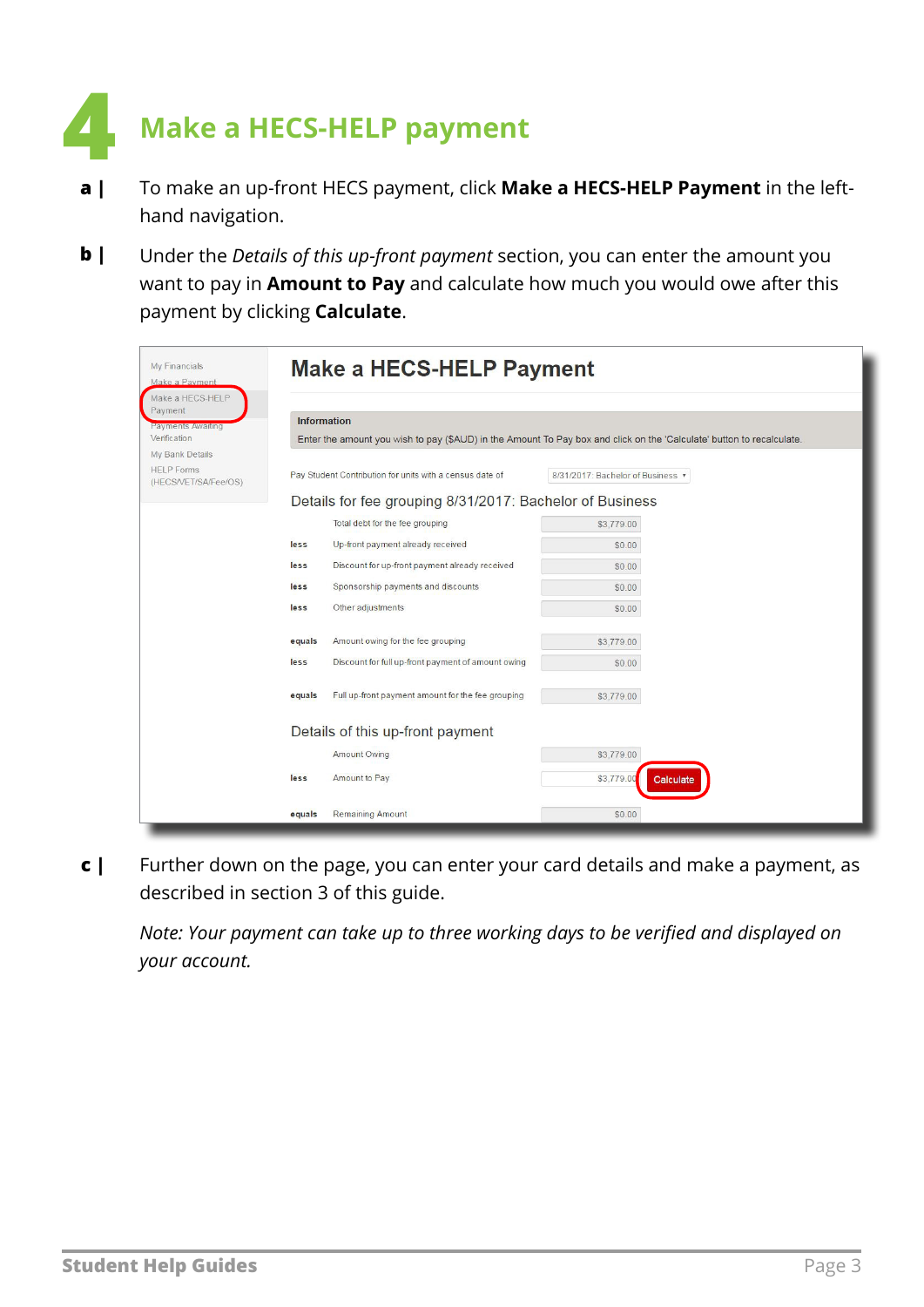

- To make an up-front HECS payment, click **Make a HECS-HELP Payment** in the lefthand navigation. **a |**
- Under the *Details of this up-front payment* section, you can enter the amount you want to pay in **Amount to Pay** and calculate how much you would owe after this payment by clicking **Calculate**. **b |**

| My Financials<br>Make a Payment                  | <b>Make a HECS-HELP Payment</b>                                                                                       |                                 |  |  |  |
|--------------------------------------------------|-----------------------------------------------------------------------------------------------------------------------|---------------------------------|--|--|--|
| Make a HECS-HELP<br>Payment<br>Payments Awaiting | <b>Information</b>                                                                                                    |                                 |  |  |  |
| Verification<br>My Bank Details                  | Enter the amount you wish to pay (\$AUD) in the Amount To Pay box and click on the 'Calculate' button to recalculate. |                                 |  |  |  |
| <b>HELP Forms</b><br>(HECS/VET/SA/Fee/OS)        | Pay Student Contribution for units with a census date of                                                              | 8/31/2017: Bachelor of Business |  |  |  |
|                                                  | Details for fee grouping 8/31/2017: Bachelor of Business                                                              |                                 |  |  |  |
|                                                  | Total debt for the fee grouping                                                                                       | \$3,779.00                      |  |  |  |
| less                                             | Up-front payment already received                                                                                     | \$0.00                          |  |  |  |
| less                                             | Discount for up-front payment already received                                                                        | \$0.00                          |  |  |  |
| less                                             | Sponsorship payments and discounts                                                                                    | \$0.00                          |  |  |  |
| less                                             | Other adjustments                                                                                                     | \$0.00                          |  |  |  |
| equals                                           | Amount owing for the fee grouping                                                                                     | \$3,779.00                      |  |  |  |
| less                                             | Discount for full up-front payment of amount owing                                                                    | \$0.00                          |  |  |  |
| equals                                           | Full up-front payment amount for the fee grouping                                                                     | \$3,779.00                      |  |  |  |
|                                                  | Details of this up-front payment                                                                                      |                                 |  |  |  |
|                                                  | <b>Amount Owing</b>                                                                                                   | \$3,779.00                      |  |  |  |
| less                                             | Amount to Pay                                                                                                         | \$3,779.00<br>Calculate         |  |  |  |
| equals                                           | <b>Remaining Amount</b>                                                                                               | \$0.00                          |  |  |  |

Further down on the page, you can enter your card details and make a payment, as described in section 3 of this guide. **c |**

*Note: Your payment can take up to three working days to be verified and displayed on your account.*